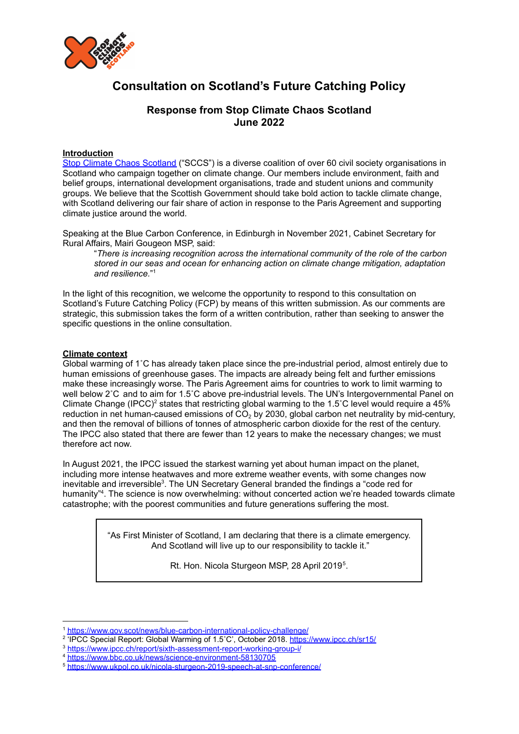

# **Consultation on Scotland's Future Catching Policy**

## **Response from Stop Climate Chaos Scotland June 2022**

### **Introduction**

Stop Climate Chaos [Scotland](https://www.stopclimatechaos.scot/) ("SCCS") is a diverse coalition of over 60 civil society organisations in Scotland who campaign together on climate change. Our members include environment, faith and belief groups, international development organisations, trade and student unions and community groups. We believe that the Scottish Government should take bold action to tackle climate change, with Scotland delivering our fair share of action in response to the Paris Agreement and supporting climate justice around the world.

Speaking at the Blue Carbon Conference, in Edinburgh in November 2021, Cabinet Secretary for Rural Affairs, Mairi Gougeon MSP, said:

"*There is increasing recognition across the international community of the role of the carbon stored in our seas and ocean for enhancing action on climate change mitigation, adaptation and resilience.*" 1

In the light of this recognition, we welcome the opportunity to respond to this consultation on Scotland's Future Catching Policy (FCP) by means of this written submission. As our comments are strategic, this submission takes the form of a written contribution, rather than seeking to answer the specific questions in the online consultation.

#### **Climate context**

Global warming of 1˚C has already taken place since the pre-industrial period, almost entirely due to human emissions of greenhouse gases. The impacts are already being felt and further emissions make these increasingly worse. The Paris Agreement aims for countries to work to limit warming to well below 2˚C and to aim for 1.5˚C above pre-industrial levels. The UN's Intergovernmental Panel on Climate Change (IPCC)<sup>2</sup> states that restricting global warming to the 1.5°C level would require a 45% reduction in net human-caused emissions of  $CO<sub>2</sub>$  by 2030, global carbon net neutrality by mid-century, and then the removal of billions of tonnes of atmospheric carbon dioxide for the rest of the century. The IPCC also stated that there are fewer than 12 years to make the necessary changes; we must therefore act now.

In August 2021, the IPCC issued the starkest warning yet about human impact on the planet, including more intense heatwaves and more extreme weather events, with some changes now inevitable and irreversible<sup>3</sup>. The UN Secretary General branded the findings a "code red for humanity"<sup>4</sup>. The science is now overwhelming: without concerted action we're headed towards climate catastrophe; with the poorest communities and future generations suffering the most.

> "As First Minister of Scotland, I am declaring that there is a climate emergency. And Scotland will live up to our responsibility to tackle it."

> > Rt. Hon. Nicola Sturgeon MSP, 28 April 2019<sup>5</sup>.

<sup>1</sup> <https://www.gov.scot/news/blue-carbon-international-policy-challenge/>

<sup>&</sup>lt;sup>2</sup> 'IPCC Special Report: Global Warming of 1.5°C', October 2018. <https://www.ipcc.ch/sr15/>

<sup>3</sup> <https://www.ipcc.ch/report/sixth-assessment-report-working-group-i/>

<sup>4</sup> <https://www.bbc.co.uk/news/science-environment-58130705>

<sup>5</sup> <https://www.ukpol.co.uk/nicola-sturgeon-2019-speech-at-snp-conference/>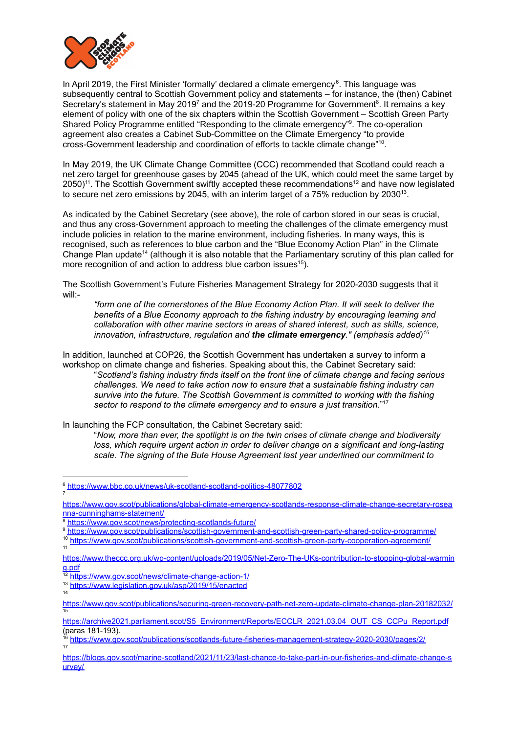

In April 2019, the First Minister 'formally' declared a climate emergency<sup>6</sup>. This language was subsequently central to Scottish Government policy and statements – for instance, the (then) Cabinet Secretary's statement in May 2019<sup>7</sup> and the 2019-20 Programme for Government<sup>8</sup>. It remains a key element of policy with one of the six chapters within the Scottish Government – Scottish Green Party Shared Policy Programme entitled "Responding to the climate emergency"<sup>9</sup>. The co-operation agreement also creates a Cabinet Sub-Committee on the Climate Emergency "to provide cross-Government leadership and coordination of efforts to tackle climate change" 10 .

In May 2019, the UK Climate Change Committee (CCC) recommended that Scotland could reach a net zero target for greenhouse gases by 2045 (ahead of the UK, which could meet the same target by 2050)<sup>11</sup>. The Scottish Government swiftly accepted these recommendations<sup>12</sup> and have now legislated to secure net zero emissions by 2045, with an interim target of a 75% reduction by 2030<sup>13</sup>.

As indicated by the Cabinet Secretary (see above), the role of carbon stored in our seas is crucial, and thus any cross-Government approach to meeting the challenges of the climate emergency must include policies in relation to the marine environment, including fisheries. In many ways, this is recognised, such as references to blue carbon and the "Blue Economy Action Plan" in the Climate Change Plan update<sup>14</sup> (although it is also notable that the Parliamentary scrutiny of this plan called for more recognition of and action to address blue carbon issues<sup>15</sup>).

The Scottish Government's Future Fisheries Management Strategy for 2020-2030 suggests that it will:-

*"form one of the cornerstones of the Blue Economy Action Plan. It will seek to deliver the benefits of a Blue Economy approach to the fishing industry by encouraging learning and collaboration with other marine sectors in areas of shared interest, such as skills, science, innovation, infrastructure, regulation and the climate emergency." (emphasis added) 16*

In addition, launched at COP26, the Scottish Government has undertaken a survey to inform a workshop on climate change and fisheries. Speaking about this, the Cabinet Secretary said:

"*Scotland's fishing industry finds itself on the front line of climate change and facing serious challenges. We need to take action now to ensure that a sustainable fishing industry can survive into the future. The Scottish Government is committed to working with the fishing sector to respond to the climate emergency and to ensure a just transition.*" 17

In launching the FCP consultation, the Cabinet Secretary said:

"*Now, more than ever, the spotlight is on the twin crises of climate change and biodiversity loss, which require urgent action in order to deliver change on a significant and long-lasting scale. The signing of the Bute House Agreement last year underlined our commitment to*

[https://www.gov.scot/publications/global-climate-emergency-scotlands-response-climate-change-secretary-rosea](https://www.gov.scot/publications/global-climate-emergency-scotlands-response-climate-change-secretary-roseanna-cunninghams-statement/) [nna-cunninghams-statement/](https://www.gov.scot/publications/global-climate-emergency-scotlands-response-climate-change-secretary-roseanna-cunninghams-statement/)

7

9 <https://www.gov.scot/publications/scottish-government-and-scottish-green-party-shared-policy-programme/>

11 10 <https://www.gov.scot/publications/scottish-government-and-scottish-green-party-cooperation-agreement/>

<sup>6</sup> <https://www.bbc.co.uk/news/uk-scotland-scotland-politics-48077802>

<sup>8</sup> <https://www.gov.scot/news/protecting-scotlands-future/>

[https://www.theccc.org.uk/wp-content/uploads/2019/05/Net-Zero-The-UKs-contribution-to-stopping-global-warmin](https://www.theccc.org.uk/wp-content/uploads/2019/05/Net-Zero-The-UKs-contribution-to-stopping-global-warming.pdf) [g.pdf](https://www.theccc.org.uk/wp-content/uploads/2019/05/Net-Zero-The-UKs-contribution-to-stopping-global-warming.pdf)

<sup>12</sup> <https://www.gov.scot/news/climate-change-action-1/>

<sup>14</sup> <sup>13</sup> <https://www.legislation.gov.uk/asp/2019/15/enacted>

<sup>15</sup> <https://www.gov.scot/publications/securing-green-recovery-path-net-zero-update-climate-change-plan-20182032/>

[https://archive2021.parliament.scot/S5\\_Environment/Reports/ECCLR\\_2021.03.04\\_OUT\\_CS\\_CCPu\\_Report.pdf](https://archive2021.parliament.scot/S5_Environment/Reports/ECCLR_2021.03.04_OUT_CS_CCPu_Report.pdf) (paras 181-193).

<sup>17</sup> <sup>16</sup> <https://www.gov.scot/publications/scotlands-future-fisheries-management-strategy-2020-2030/pages/2/>

[https://blogs.gov.scot/marine-scotland/2021/11/23/last-chance-to-take-part-in-our-fisheries-and-climate-change-s](https://blogs.gov.scot/marine-scotland/2021/11/23/last-chance-to-take-part-in-our-fisheries-and-climate-change-survey/) [urvey/](https://blogs.gov.scot/marine-scotland/2021/11/23/last-chance-to-take-part-in-our-fisheries-and-climate-change-survey/)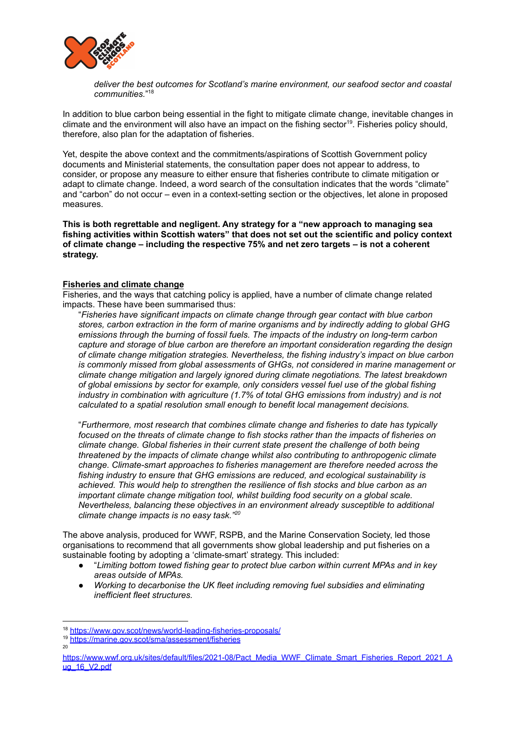

*deliver the best outcomes for Scotland's marine environment, our seafood sector and coastal communities.*" 18

In addition to blue carbon being essential in the fight to mitigate climate change, inevitable changes in climate and the environment will also have an impact on the fishing sector 19 . Fisheries policy should, therefore, also plan for the adaptation of fisheries.

Yet, despite the above context and the commitments/aspirations of Scottish Government policy documents and Ministerial statements, the consultation paper does not appear to address, to consider, or propose any measure to either ensure that fisheries contribute to climate mitigation or adapt to climate change. Indeed, a word search of the consultation indicates that the words "climate" and "carbon" do not occur – even in a context-setting section or the objectives, let alone in proposed measures.

**This is both regrettable and negligent. Any strategy for a "new approach to managing sea fishing activities within Scottish waters" that does not set out the scientific and policy context of climate change – including the respective 75% and net zero targets – is not a coherent strategy.**

#### **Fisheries and climate change**

Fisheries, and the ways that catching policy is applied, have a number of climate change related impacts. These have been summarised thus:

"*Fisheries have significant impacts on climate change through gear contact with blue carbon stores, carbon extraction in the form of marine organisms and by indirectly adding to global GHG emissions through the burning of fossil fuels. The impacts of the industry on long-term carbon capture and storage of blue carbon are therefore an important consideration regarding the design of climate change mitigation strategies. Nevertheless, the fishing industry's impact on blue carbon is commonly missed from global assessments of GHGs, not considered in marine management or climate change mitigation and largely ignored during climate negotiations. The latest breakdown of global emissions by sector for example, only considers vessel fuel use of the global fishing industry in combination with agriculture (1.7% of total GHG emissions from industry) and is not calculated to a spatial resolution small enough to benefit local management decisions.*

"*Furthermore, most research that combines climate change and fisheries to date has typically focused on the threats of climate change to fish stocks rather than the impacts of fisheries on climate change. Global fisheries in their current state present the challenge of both being threatened by the impacts of climate change whilst also contributing to anthropogenic climate change. Climate-smart approaches to fisheries management are therefore needed across the fishing industry to ensure that GHG emissions are reduced, and ecological sustainability is achieved. This would help to strengthen the resilience of fish stocks and blue carbon as an important climate change mitigation tool, whilst building food security on a global scale. Nevertheless, balancing these objectives in an environment already susceptible to additional climate change impacts is no easy task." 20*

The above analysis, produced for WWF, RSPB, and the Marine Conservation Society, led those organisations to recommend that all governments show global leadership and put fisheries on a sustainable footing by adopting a 'climate-smart' strategy. This included:

- *●* "*Limiting bottom towed fishing gear to protect blue carbon within current MPAs and in key areas outside of MPAs.*
- *● Working to decarbonise the UK fleet including removing fuel subsidies and eliminating inefficient fleet structures.*

20

<sup>18</sup> <https://www.gov.scot/news/world-leading-fisheries-proposals/>

<sup>19</sup> <https://marine.gov.scot/sma/assessment/fisheries>

[https://www.wwf.org.uk/sites/default/files/2021-08/Pact\\_Media\\_WWF\\_Climate\\_Smart\\_Fisheries\\_Report\\_2021\\_A](https://www.wwf.org.uk/sites/default/files/2021-08/Pact_Media_WWF_Climate_Smart_Fisheries_Report_2021_Aug_16_V2.pdf) ug 16 V2.pdf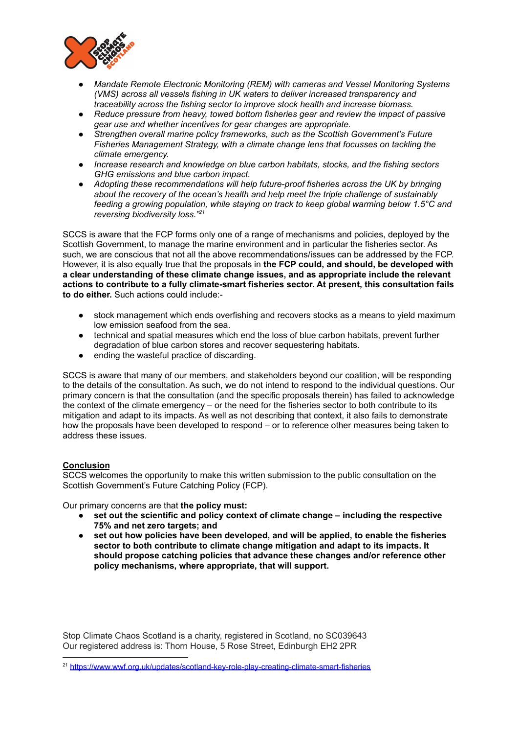

- *● Mandate Remote Electronic Monitoring (REM) with cameras and Vessel Monitoring Systems (VMS) across all vessels fishing in UK waters to deliver increased transparency and traceability across the fishing sector to improve stock health and increase biomass.*
- *● Reduce pressure from heavy, towed bottom fisheries gear and review the impact of passive gear use and whether incentives for gear changes are appropriate.*
- *● Strengthen overall marine policy frameworks, such as the Scottish Government's Future Fisheries Management Strategy, with a climate change lens that focusses on tackling the climate emergency.*
- *● Increase research and knowledge on blue carbon habitats, stocks, and the fishing sectors GHG emissions and blue carbon impact.*
- *● Adopting these recommendations will help future-proof fisheries across the UK by bringing about the recovery of the ocean's health and help meet the triple challenge of sustainably feeding a growing population, while staying on track to keep global warming below 1.5°C and reversing biodiversity loss." 21*

SCCS is aware that the FCP forms only one of a range of mechanisms and policies, deployed by the Scottish Government, to manage the marine environment and in particular the fisheries sector. As such, we are conscious that not all the above recommendations/issues can be addressed by the FCP. However, it is also equally true that the proposals in **the FCP could, and should, be developed with a clear understanding of these climate change issues, and as appropriate include the relevant actions to contribute to a fully climate-smart fisheries sector. At present, this consultation fails to do either.** Such actions could include:-

- stock management which ends overfishing and recovers stocks as a means to yield maximum low emission seafood from the sea.
- technical and spatial measures which end the loss of blue carbon habitats, prevent further degradation of blue carbon stores and recover sequestering habitats.
- ending the wasteful practice of discarding.

SCCS is aware that many of our members, and stakeholders beyond our coalition, will be responding to the details of the consultation. As such, we do not intend to respond to the individual questions. Our primary concern is that the consultation (and the specific proposals therein) has failed to acknowledge the context of the climate emergency – or the need for the fisheries sector to both contribute to its mitigation and adapt to its impacts. As well as not describing that context, it also fails to demonstrate how the proposals have been developed to respond – or to reference other measures being taken to address these issues.

### **Conclusion**

SCCS welcomes the opportunity to make this written submission to the public consultation on the Scottish Government's Future Catching Policy (FCP).

Our primary concerns are that **the policy must:**

- **● set out the scientific and policy context of climate change – including the respective 75% and net zero targets; and**
- **● set out how policies have been developed, and will be applied, to enable the fisheries sector to both contribute to climate change mitigation and adapt to its impacts. It should propose catching policies that advance these changes and/or reference other policy mechanisms, where appropriate, that will support.**

Stop Climate Chaos Scotland is a charity, registered in Scotland, no SC039643 Our registered address is: Thorn House, 5 Rose Street, Edinburgh EH2 2PR

<sup>&</sup>lt;sup>21</sup> <https://www.wwf.org.uk/updates/scotland-key-role-play-creating-climate-smart-fisheries>